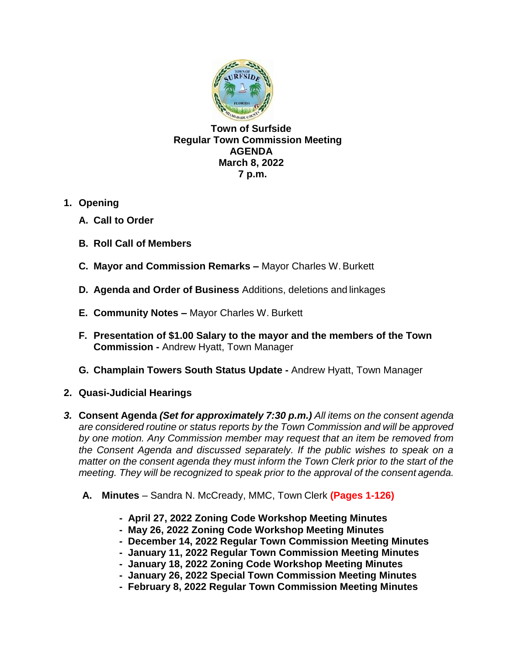

**Town of Surfside Regular Town Commission Meeting AGENDA March 8, 2022 7 p.m.**

- **1. Opening**
	- **A. Call to Order**
	- **B. Roll Call of Members**
	- **C. Mayor and Commission Remarks –** Mayor Charles W.Burkett
	- **D. Agenda and Order of Business** Additions, deletions and linkages
	- **E. Community Notes –** Mayor Charles W. Burkett
	- **F. Presentation of \$1.00 Salary to the mayor and the members of the Town Commission -** Andrew Hyatt, Town Manager
	- **G. Champlain Towers South Status Update -** Andrew Hyatt, Town Manager
- **2. Quasi-Judicial Hearings**
- *3.* **Consent Agenda** *(Set for approximately 7:30 p.m.) All items on the consent agenda are considered routine or status reports by the Town Commission and will be approved by one motion. Any Commission member may request that an item be removed from*  the Consent Agenda and discussed separately. If the public wishes to speak on a *matter on the consent agenda they must inform the Town Clerk prior to the start of the meeting. They will be recognized to speak prior to the approval of the consent agenda.*
	- **A. Minutes**  Sandra N. McCready, MMC, Town Clerk **(Pages 1-126)**
		- **- April 27, 2022 Zoning Code Workshop Meeting Minutes**
		- **May 26, 2022 Zoning Code Workshop Meeting Minutes**
		- **December 14, 2022 Regular Town Commission Meeting Minutes**
		- **January 11, 2022 Regular Town Commission Meeting Minutes**
		- **- January 18, 2022 Zoning Code Workshop Meeting Minutes**
		- **- January 26, 2022 Special Town Commission Meeting Minutes**
		- **- February 8, 2022 Regular Town Commission Meeting Minutes**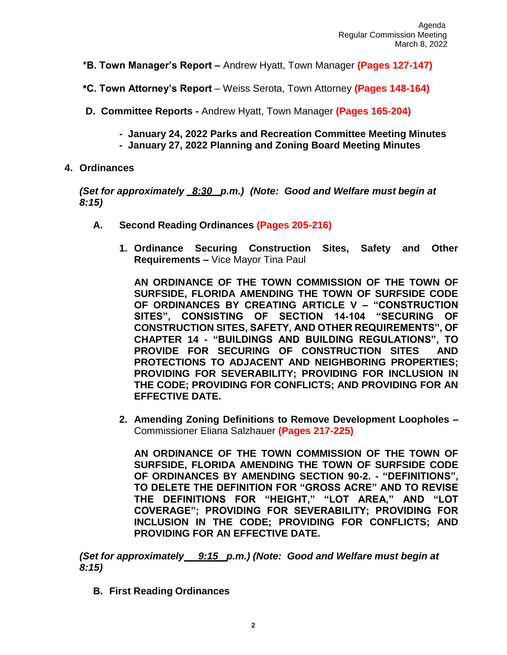- **\*B. Town Manager's Report –** Andrew Hyatt, Town Manager **(Pages 127-147)**
- **\*C. Town Attorney's Report**  Weiss Serota, Town Attorney **(Pages 148-164)**
- **D. Committee Reports -** Andrew Hyatt, Town Manager **(Pages 165-204)**
	- **January 24, 2022 Parks and Recreation Committee Meeting Minutes**
	- **January 27, 2022 Planning and Zoning Board Meeting Minutes**
- **4. Ordinances**

*(Set for approximately \_8:30\_ p.m.) (Note: Good and Welfare must begin at 8:15)*

- **A. Second Reading Ordinances (Pages 205-216)**
	- **1. Ordinance Securing Construction Sites, Safety and Other Requirements –** Vice Mayor Tina Paul

**AN ORDINANCE OF THE TOWN COMMISSION OF THE TOWN OF SURFSIDE, FLORIDA AMENDING THE TOWN OF SURFSIDE CODE OF ORDINANCES BY CREATING ARTICLE V – "CONSTRUCTION SITES", CONSISTING OF SECTION 14-104 "SECURING OF CONSTRUCTION SITES, SAFETY, AND OTHER REQUIREMENTS", OF CHAPTER 14 - "BUILDINGS AND BUILDING REGULATIONS", TO PROVIDE FOR SECURING OF CONSTRUCTION SITES AND PROTECTIONS TO ADJACENT AND NEIGHBORING PROPERTIES; PROVIDING FOR SEVERABILITY; PROVIDING FOR INCLUSION IN THE CODE; PROVIDING FOR CONFLICTS; AND PROVIDING FOR AN EFFECTIVE DATE.**

**2. Amending Zoning Definitions to Remove Development Loopholes –** Commissioner Eliana Salzhauer **(Pages 217-225)**

**AN ORDINANCE OF THE TOWN COMMISSION OF THE TOWN OF SURFSIDE, FLORIDA AMENDING THE TOWN OF SURFSIDE CODE OF ORDINANCES BY AMENDING SECTION 90-2. - "DEFINITIONS", TO DELETE THE DEFINITION FOR "GROSS ACRE" AND TO REVISE THE DEFINITIONS FOR "HEIGHT," "LOT AREA," AND "LOT COVERAGE"; PROVIDING FOR SEVERABILITY; PROVIDING FOR INCLUSION IN THE CODE; PROVIDING FOR CONFLICTS; AND PROVIDING FOR AN EFFECTIVE DATE.**

*(Set for approximately 9:15 p.m.) (Note: Good and Welfare must begin at 8:15)*

**B. First Reading Ordinances**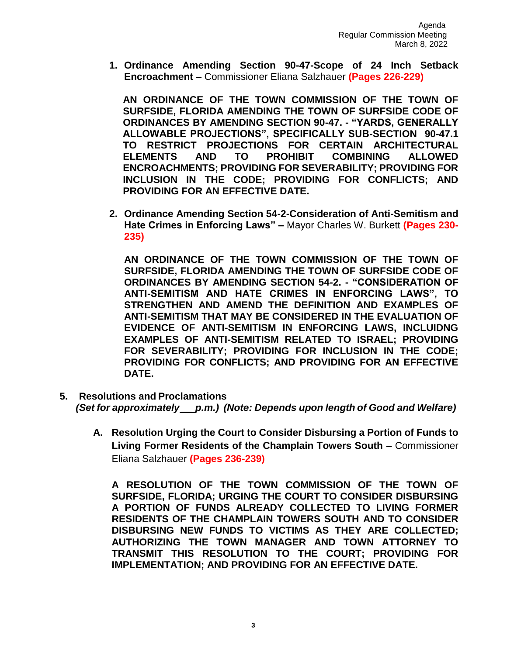**1. Ordinance Amending Section 90-47-Scope of 24 Inch Setback Encroachment –** Commissioner Eliana Salzhauer **(Pages 226-229)**

**AN ORDINANCE OF THE TOWN COMMISSION OF THE TOWN OF SURFSIDE, FLORIDA AMENDING THE TOWN OF SURFSIDE CODE OF ORDINANCES BY AMENDING SECTION 90-47. - "YARDS, GENERALLY ALLOWABLE PROJECTIONS", SPECIFICALLY SUB-SECTION 90-47.1 TO RESTRICT PROJECTIONS FOR CERTAIN ARCHITECTURAL ELEMENTS AND TO PROHIBIT COMBINING ALLOWED ENCROACHMENTS; PROVIDING FOR SEVERABILITY; PROVIDING FOR INCLUSION IN THE CODE; PROVIDING FOR CONFLICTS; AND PROVIDING FOR AN EFFECTIVE DATE.**

**2. Ordinance Amending Section 54-2-Consideration of Anti-Semitism and Hate Crimes in Enforcing Laws" –** Mayor Charles W. Burkett **(Pages 230- 235)**

**AN ORDINANCE OF THE TOWN COMMISSION OF THE TOWN OF SURFSIDE, FLORIDA AMENDING THE TOWN OF SURFSIDE CODE OF ORDINANCES BY AMENDING SECTION 54-2. - "CONSIDERATION OF ANTI-SEMITISM AND HATE CRIMES IN ENFORCING LAWS", TO STRENGTHEN AND AMEND THE DEFINITION AND EXAMPLES OF ANTI-SEMITISM THAT MAY BE CONSIDERED IN THE EVALUATION OF EVIDENCE OF ANTI-SEMITISM IN ENFORCING LAWS, INCLUIDNG EXAMPLES OF ANTI-SEMITISM RELATED TO ISRAEL; PROVIDING FOR SEVERABILITY; PROVIDING FOR INCLUSION IN THE CODE; PROVIDING FOR CONFLICTS; AND PROVIDING FOR AN EFFECTIVE DATE.**

- **5. Resolutions and Proclamations** *(Set for approximately \_\_ p.m.) (Note: Depends upon length of Good and Welfare)*
	- **A. Resolution Urging the Court to Consider Disbursing a Portion of Funds to Living Former Residents of the Champlain Towers South –** Commissioner Eliana Salzhauer **(Pages 236-239)**

**A RESOLUTION OF THE TOWN COMMISSION OF THE TOWN OF SURFSIDE, FLORIDA; URGING THE COURT TO CONSIDER DISBURSING A PORTION OF FUNDS ALREADY COLLECTED TO LIVING FORMER RESIDENTS OF THE CHAMPLAIN TOWERS SOUTH AND TO CONSIDER DISBURSING NEW FUNDS TO VICTIMS AS THEY ARE COLLECTED; AUTHORIZING THE TOWN MANAGER AND TOWN ATTORNEY TO TRANSMIT THIS RESOLUTION TO THE COURT; PROVIDING FOR IMPLEMENTATION; AND PROVIDING FOR AN EFFECTIVE DATE.**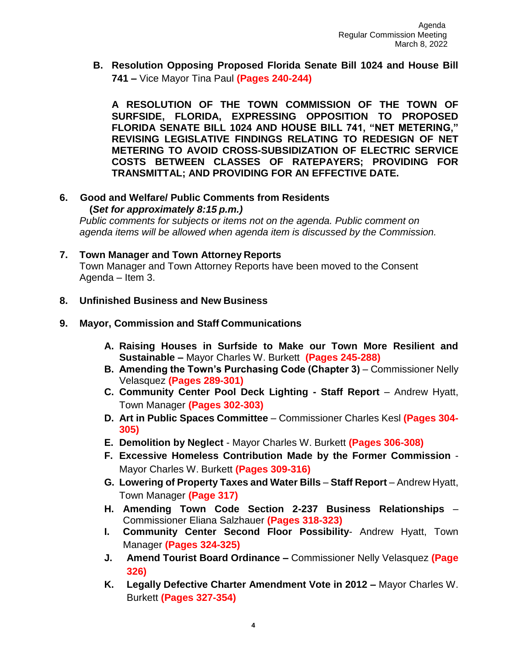**B. Resolution Opposing Proposed Florida Senate Bill 1024 and House Bill 741 –** Vice Mayor Tina Paul **(Pages 240-244)**

**A RESOLUTION OF THE TOWN COMMISSION OF THE TOWN OF SURFSIDE, FLORIDA, EXPRESSING OPPOSITION TO PROPOSED FLORIDA SENATE BILL 1024 AND HOUSE BILL 741, "NET METERING," REVISING LEGISLATIVE FINDINGS RELATING TO REDESIGN OF NET METERING TO AVOID CROSS-SUBSIDIZATION OF ELECTRIC SERVICE COSTS BETWEEN CLASSES OF RATEPAYERS; PROVIDING FOR TRANSMITTAL; AND PROVIDING FOR AN EFFECTIVE DATE.**

**6. Good and Welfare/ Public Comments from Residents (***Set for approximately 8:15 p.m.)*

*Public comments for subjects or items not on the agenda. Public comment on agenda items will be allowed when agenda item is discussed by the Commission.*

- **7. Town Manager and Town Attorney Reports** Town Manager and Town Attorney Reports have been moved to the Consent Agenda – Item 3.
- **8. Unfinished Business and New Business**
- **9. Mayor, Commission and Staff Communications**
	- **A. Raising Houses in Surfside to Make our Town More Resilient and Sustainable –** Mayor Charles W. Burkett **(Pages 245-288)**
	- **B. Amending the Town's Purchasing Code (Chapter 3) Commissioner Nelly** Velasquez **(Pages 289-301)**
	- **C. Community Center Pool Deck Lighting - Staff Report**  Andrew Hyatt, Town Manager **(Pages 302-303)**
	- **D. Art in Public Spaces Committee**  Commissioner Charles Kesl **(Pages 304- 305)**
	- **E. Demolition by Neglect**  Mayor Charles W. Burkett **(Pages 306-308)**
	- **F. Excessive Homeless Contribution Made by the Former Commission**  Mayor Charles W. Burkett **(Pages 309-316)**
	- **G. Lowering of Property Taxes and Water Bills Staff Report**  Andrew Hyatt, Town Manager **(Page 317)**
	- **H. Amending Town Code Section 2-237 Business Relationships**  Commissioner Eliana Salzhauer **(Pages 318-323)**
	- **I. Community Center Second Floor Possibility** Andrew Hyatt, Town Manager **(Pages 324-325)**
	- **J. Amend Tourist Board Ordinance –** Commissioner Nelly Velasquez **(Page 326)**
	- **K. Legally Defective Charter Amendment Vote in 2012 –** Mayor Charles W. Burkett **(Pages 327-354)**